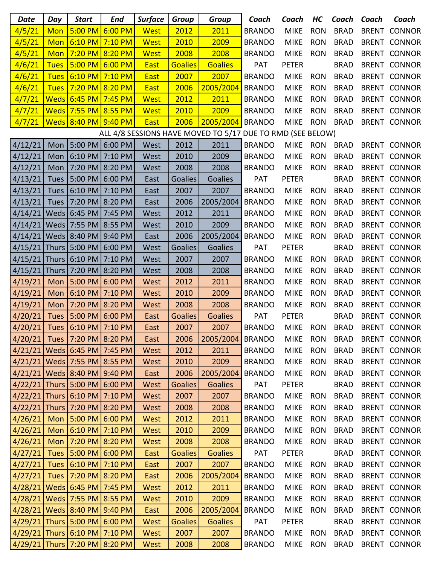| <b>Date</b>                                                | Day          | <b>Start</b>                       | <b>End</b>      | <b>Surface</b> | <b>Group</b>   | <b>Group</b>     | Coach         | Coach        | HС         | Coach       | Coach        | Coach               |
|------------------------------------------------------------|--------------|------------------------------------|-----------------|----------------|----------------|------------------|---------------|--------------|------------|-------------|--------------|---------------------|
| 4/5/21                                                     | <b>Mon</b>   | 5:00 PM                            | 6:00 PM         | <b>West</b>    | 2012           | 2011             | <b>BRANDO</b> | <b>MIKE</b>  | <b>RON</b> | <b>BRAD</b> | <b>BRENT</b> | <b>CONNOR</b>       |
| 4/5/21                                                     | <b>Mon</b>   | $6:10$ PM $7:10$ PM                |                 | <b>West</b>    | 2010           | 2009             | <b>BRANDO</b> | <b>MIKE</b>  | <b>RON</b> | <b>BRAD</b> | <b>BRENT</b> | <b>CONNOR</b>       |
| 4/5/21                                                     | <b>Mon</b>   | 7:20 PM 8:20 PM                    |                 | <b>West</b>    | 2008           | 2008             | <b>BRANDO</b> | <b>MIKE</b>  | <b>RON</b> | <b>BRAD</b> |              | <b>BRENT CONNOR</b> |
| 4/6/21                                                     | <b>Tues</b>  | 5:00 PM                            | 6:00 PM         | <b>East</b>    | <b>Goalies</b> | <b>Goalies</b>   | PAT           | <b>PETER</b> |            | <b>BRAD</b> |              | <b>BRENT CONNOR</b> |
| 4/6/21                                                     | <b>Tues</b>  | $6:10$ PM $7:10$ PM                |                 | <b>East</b>    | 2007           | 2007             | <b>BRANDO</b> | <b>MIKE</b>  | <b>RON</b> | <b>BRAD</b> |              | <b>BRENT CONNOR</b> |
| 4/6/21                                                     | <b>Tues</b>  | 7:20 PM 8:20 PM                    |                 | <b>East</b>    | 2006           | 2005/2004        | <b>BRANDO</b> | <b>MIKE</b>  | <b>RON</b> | <b>BRAD</b> |              | <b>BRENT CONNOR</b> |
| 4/7/21                                                     | <b>Weds</b>  | $6:45$ PM 7:45 PM                  |                 | West           | 2012           | 2011             | <b>BRANDO</b> | <b>MIKE</b>  | <b>RON</b> | <b>BRAD</b> |              | <b>BRENT CONNOR</b> |
| 4/7/21                                                     |              | Weds 7:55 PM 8:55 PM               |                 | <b>West</b>    | 2010           | 2009             | <b>BRANDO</b> | <b>MIKE</b>  | <b>RON</b> | <b>BRAD</b> |              | <b>BRENT CONNOR</b> |
| 4/7/21                                                     |              | Weds 8:40 PM 9:40 PM               |                 | <b>East</b>    | 2006           | 2005/2004 BRANDO |               | <b>MIKE</b>  | <b>RON</b> | <b>BRAD</b> |              | <b>BRENT CONNOR</b> |
| ALL 4/8 SESSIONS HAVE MOVED TO 5/17 DUE TO RMD (SEE BELOW) |              |                                    |                 |                |                |                  |               |              |            |             |              |                     |
| 4/12/21                                                    | Mon          |                                    | 5:00 PM 6:00 PM | West           | 2012           | 2011             | <b>BRANDO</b> | <b>MIKE</b>  | <b>RON</b> | <b>BRAD</b> |              | <b>BRENT CONNOR</b> |
| 4/12/21                                                    | Mon          | 6:10 PM 7:10 PM                    |                 | West           | 2010           | 2009             | <b>BRANDO</b> | <b>MIKE</b>  | <b>RON</b> | <b>BRAD</b> |              | <b>BRENT CONNOR</b> |
| 4/12/21                                                    | Mon          | 7:20 PM                            | 8:20 PM         | West           | 2008           | 2008             | <b>BRANDO</b> | <b>MIKE</b>  | <b>RON</b> | <b>BRAD</b> |              | <b>BRENT CONNOR</b> |
| 4/13/21                                                    | <b>Tues</b>  | 5:00 PM 6:00 PM                    |                 | East           | <b>Goalies</b> | Goalies          | <b>PAT</b>    | <b>PETER</b> |            | <b>BRAD</b> |              | <b>BRENT CONNOR</b> |
| 4/13/21                                                    | <b>Tues</b>  | 6:10 PM 7:10 PM                    |                 | East           | 2007           | 2007             | <b>BRANDO</b> | <b>MIKE</b>  | <b>RON</b> | <b>BRAD</b> |              | <b>BRENT CONNOR</b> |
| 4/13/21                                                    | <b>Tues</b>  | 7:20 PM                            | 8:20 PM         | East           | 2006           | 2005/2004        | <b>BRANDO</b> | <b>MIKE</b>  | <b>RON</b> | <b>BRAD</b> |              | <b>BRENT CONNOR</b> |
| 4/14/21                                                    |              | Weds 6:45 PM                       | 7:45 PM         | West           | 2012           | 2011             | <b>BRANDO</b> | <b>MIKE</b>  | <b>RON</b> | <b>BRAD</b> |              | <b>BRENT CONNOR</b> |
| 4/14/21                                                    |              | Weds   7:55 PM   8:55 PM           |                 | West           | 2010           | 2009             | <b>BRANDO</b> | <b>MIKE</b>  | <b>RON</b> | <b>BRAD</b> |              | <b>BRENT CONNOR</b> |
| 4/14/21                                                    |              | Weds $8:40$ PM                     | 9:40 PM         | East           | 2006           | 2005/2004        | <b>BRANDO</b> | <b>MIKE</b>  | <b>RON</b> | <b>BRAD</b> |              | <b>BRENT CONNOR</b> |
| 4/15/21                                                    |              | Thurs   5:00 PM   6:00 PM          |                 | West           | <b>Goalies</b> | Goalies          | <b>PAT</b>    | <b>PETER</b> |            | <b>BRAD</b> |              | <b>BRENT CONNOR</b> |
| 4/15/21                                                    |              | Thurs   6:10 PM   7:10 PM          |                 | West           | 2007           | 2007             | <b>BRANDO</b> | <b>MIKE</b>  | <b>RON</b> | <b>BRAD</b> |              | <b>BRENT CONNOR</b> |
| 4/15/21                                                    | <b>Thurs</b> | 7:20 PM                            | 8:20 PM         | West           | 2008           | 2008             | <b>BRANDO</b> | <b>MIKE</b>  | <b>RON</b> | <b>BRAD</b> |              | <b>BRENT CONNOR</b> |
| 4/19/21                                                    | Mon          | 5:00 PM 6:00 PM                    |                 | West           | 2012           | 2011             | <b>BRANDO</b> | <b>MIKE</b>  | <b>RON</b> | <b>BRAD</b> |              | <b>BRENT CONNOR</b> |
| 4/19/21                                                    | Mon          | 6:10 PM 7:10 PM                    |                 | West           | 2010           | 2009             | <b>BRANDO</b> | <b>MIKE</b>  | <b>RON</b> | <b>BRAD</b> |              | <b>BRENT CONNOR</b> |
| 4/19/21                                                    | Mon          | 7:20 PM                            | 8:20 PM         | West           | 2008           | 2008             | <b>BRANDO</b> | <b>MIKE</b>  | <b>RON</b> | <b>BRAD</b> | <b>BRENT</b> | <b>CONNOR</b>       |
| 4/20/21                                                    | <b>Tues</b>  | 5:00 PM 6:00 PM                    |                 | East           | <b>Goalies</b> | <b>Goalies</b>   | PAT           | <b>PETER</b> |            | <b>BRAD</b> |              | <b>BRENT CONNOR</b> |
| 4/20/21                                                    |              | Tues   6:10 PM   7:10 PM           |                 | East           | 2007           | 2007             | <b>BRANDO</b> | <b>MIKE</b>  | <b>RON</b> | <b>BRAD</b> |              | <b>BRENT CONNOR</b> |
| 4/20/21                                                    |              | Tues   7:20 PM   8:20 PM           |                 | East           | 2006           | 2005/2004 BRANDO |               | <b>MIKE</b>  | <b>RON</b> | <b>BRAD</b> |              | <b>BRENT CONNOR</b> |
|                                                            |              | 4/21/21 Weds 6:45 PM 7:45 PM       |                 | West           | 2012           | 2011             | <b>BRANDO</b> | <b>MIKE</b>  | <b>RON</b> | <b>BRAD</b> |              | <b>BRENT CONNOR</b> |
|                                                            |              | 4/21/21   Weds   7:55 PM   8:55 PM |                 | West           | 2010           | 2009             | <b>BRANDO</b> | <b>MIKE</b>  | <b>RON</b> | <b>BRAD</b> |              | <b>BRENT CONNOR</b> |
|                                                            |              | 4/21/21   Weds   8:40 PM   9:40 PM |                 | East           | 2006           | 2005/2004 BRANDO |               | <b>MIKE</b>  | <b>RON</b> | <b>BRAD</b> |              | <b>BRENT CONNOR</b> |
|                                                            |              | 4/22/21 Thurs 5:00 PM 6:00 PM      |                 | West           | <b>Goalies</b> | <b>Goalies</b>   | PAT           | <b>PETER</b> |            | <b>BRAD</b> |              | <b>BRENT CONNOR</b> |
|                                                            |              | 4/22/21 Thurs 6:10 PM 7:10 PM      |                 | West           | 2007           | 2007             | <b>BRANDO</b> | <b>MIKE</b>  | <b>RON</b> | <b>BRAD</b> |              | <b>BRENT CONNOR</b> |
|                                                            |              | 4/22/21 Thurs 7:20 PM 8:20 PM      |                 | West           | 2008           | 2008             | <b>BRANDO</b> | <b>MIKE</b>  | <b>RON</b> | <b>BRAD</b> |              | <b>BRENT CONNOR</b> |
| 4/26/21                                                    |              | Mon 5:00 PM 6:00 PM                |                 | West           | 2012           | 2011             | <b>BRANDO</b> | <b>MIKE</b>  | <b>RON</b> | <b>BRAD</b> |              | <b>BRENT CONNOR</b> |
| 4/26/21                                                    |              | Mon   6:10 PM   7:10 PM            |                 | West           | 2010           | 2009             | <b>BRANDO</b> | <b>MIKE</b>  | <b>RON</b> | <b>BRAD</b> |              | <b>BRENT CONNOR</b> |
| 4/26/21                                                    |              | Mon   7:20 PM   8:20 PM            |                 | West           | 2008           | 2008             | <b>BRANDO</b> | <b>MIKE</b>  | <b>RON</b> | <b>BRAD</b> |              | <b>BRENT CONNOR</b> |
| 4/27/21                                                    |              | Tues 5:00 PM 6:00 PM               |                 | East           | <b>Goalies</b> | <b>Goalies</b>   | PAT           | <b>PETER</b> |            | <b>BRAD</b> |              | <b>BRENT CONNOR</b> |
| 4/27/21                                                    |              | Tues   6:10 PM   7:10 PM           |                 | East           | 2007           | 2007             | <b>BRANDO</b> | <b>MIKE</b>  | <b>RON</b> | <b>BRAD</b> |              | <b>BRENT CONNOR</b> |
| 4/27/21                                                    |              | Tues   7:20 PM   8:20 PM           |                 | East           | 2006           | 2005/2004        | <b>BRANDO</b> | <b>MIKE</b>  | <b>RON</b> | <b>BRAD</b> |              | <b>BRENT CONNOR</b> |
|                                                            |              | 4/28/21   Weds   6:45 PM   7:45 PM |                 | West           | 2012           | 2011             | <b>BRANDO</b> | <b>MIKE</b>  | <b>RON</b> | <b>BRAD</b> |              | <b>BRENT CONNOR</b> |
|                                                            |              | 4/28/21   Weds   7:55 PM   8:55 PM |                 | West           | 2010           | 2009             | <b>BRANDO</b> | <b>MIKE</b>  | <b>RON</b> | <b>BRAD</b> |              | <b>BRENT CONNOR</b> |
|                                                            |              | 4/28/21   Weds   8:40 PM   9:40 PM |                 | East           | 2006           | 2005/2004        | <b>BRANDO</b> | <b>MIKE</b>  | <b>RON</b> | <b>BRAD</b> |              | <b>BRENT CONNOR</b> |
|                                                            |              | 4/29/21 Thurs 5:00 PM 6:00 PM      |                 | West           | <b>Goalies</b> | <b>Goalies</b>   | <b>PAT</b>    | <b>PETER</b> |            | <b>BRAD</b> |              | <b>BRENT CONNOR</b> |
|                                                            |              | 4/29/21 Thurs 6:10 PM 7:10 PM      |                 | West           | 2007           | 2007             | <b>BRANDO</b> | <b>MIKE</b>  | <b>RON</b> | <b>BRAD</b> |              | <b>BRENT CONNOR</b> |
|                                                            |              | 4/29/21 Thurs 7:20 PM 8:20 PM      |                 | West           | 2008           | 2008             | <b>BRANDO</b> | <b>MIKE</b>  | <b>RON</b> | <b>BRAD</b> |              | BRENT CONNOR        |